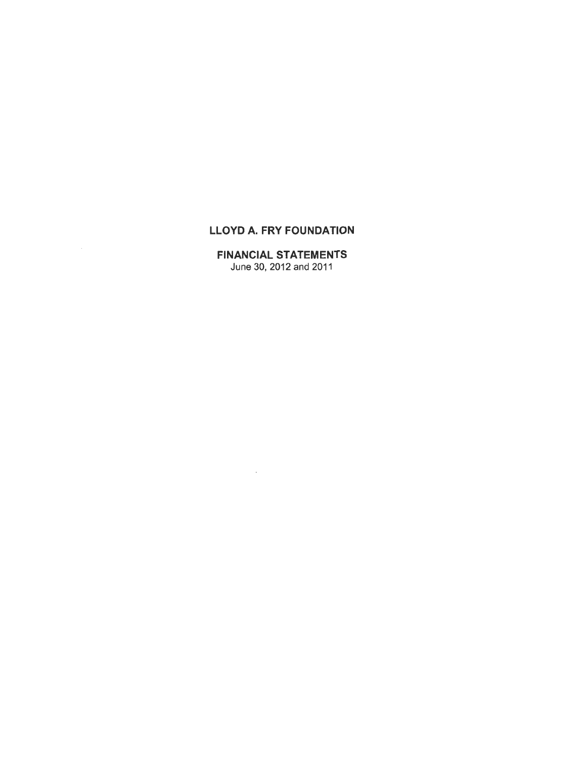# LLOYD A. FRY FOUNDATION

# FINANCIAL STATEMENTS June 30, 2012 and 2011

 $\sim$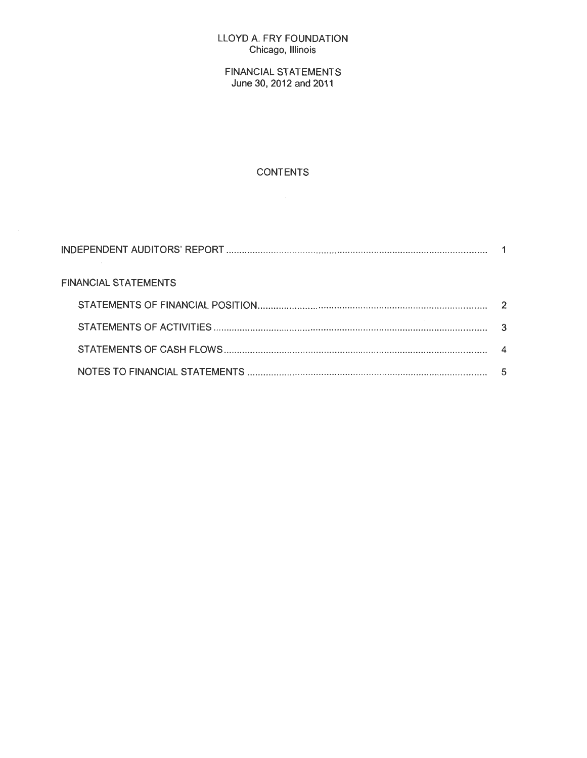#### LLOYD A. FRY FOUNDATION Chicago, Illinois

FINANCIAL STATEMENTS June 30, 2012 and 2011

# CONTENTS

 $\sim$ 

| <b>FINANCIAL STATEMENTS</b> |  |
|-----------------------------|--|
|                             |  |
|                             |  |
|                             |  |
|                             |  |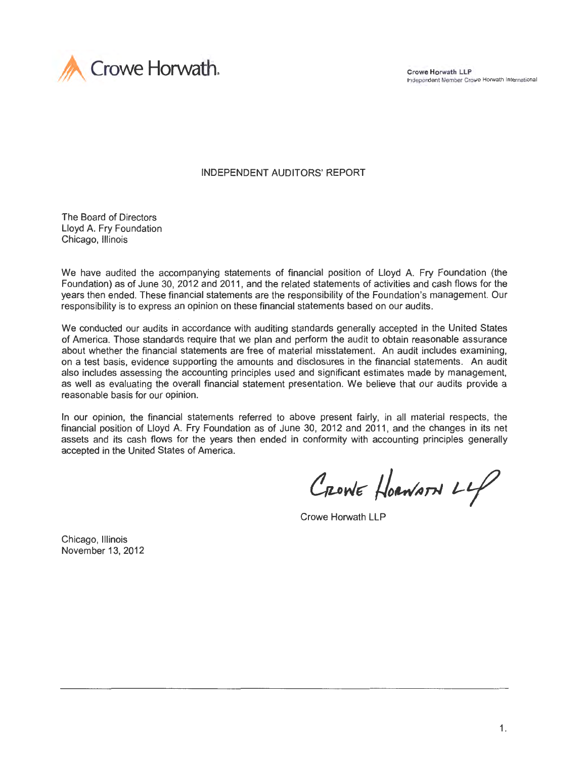

Crowe Horwath LLP Independent Member Crowe Horwath International

INDEPENDENT AUDITORS' REPORT

The Board of Directors Lloyd A. Fry Foundation Chicago, Illinois

We have audited the accompanying statements of financial position of Lloyd A. Fry Foundation (the Foundation) as of June 30, 2012 and 2011 , and the related statements of activities and cash flows for the years then ended. These financial statements are the responsibility of the Foundation's management. Our responsibility is to express an opinion on these financial statements based on our audits.

We conducted our audits in accordance with auditing standards generally accepted in the United States of America. Those standards require that we plan and perform the audit to obtain reasonable assurance about whether the financial statements are free of material misstatement. An audit includes examining, on a test basis, evidence supporting the amounts and disclosures in the financial statements. An audit also includes assessing the accounting principles used and significant estimates made by management, as well as evaluating the overall financial statement presentation. We believe that our audits provide a reasonable basis for our opinion.

In our opinion, the financial statements referred to above present fairly, in all material respects, the financial position of Lloyd A. Fry Foundation as of June 30, 2012 and 2011 , and the changes in its net assets and its cash flows for the years then ended in conformity with accounting principles generally accepted in the United States of America.

CRONE HORWARN LLP

Crowe Horwath LLP

Chicago, Illinois November 13, 2012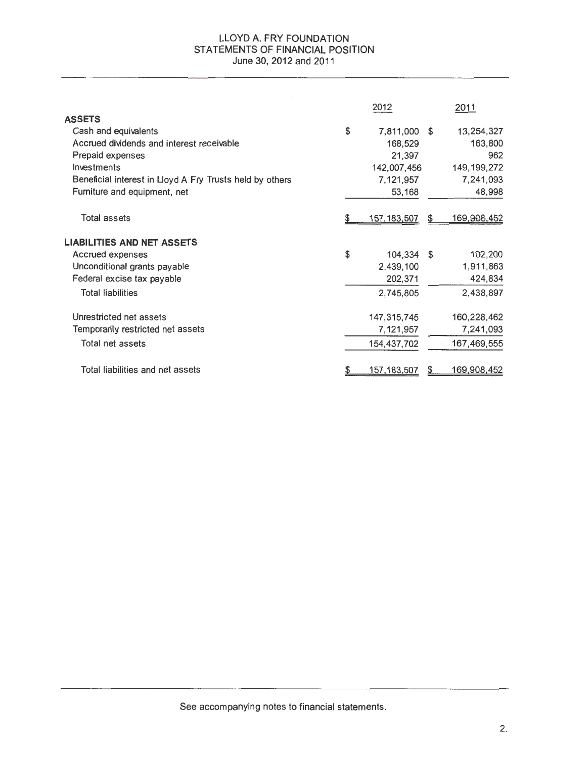#### LLOYD A. FRY FOUNDATION STATEMENTS OF FINANCIAL POSITION June 30, 2012 and 2011

|                                                          |    | 2012                 |     | 2011               |
|----------------------------------------------------------|----|----------------------|-----|--------------------|
| <b>ASSETS</b>                                            |    |                      |     |                    |
| Cash and equivalents                                     | \$ | 7,811,000            | - S | 13,254,327         |
| Accrued dividends and interest receivable                |    | 168,529              |     | 163,800            |
| Prepaid expenses                                         |    | 21,397               |     | 962                |
| Investments                                              |    | 142,007,456          |     | 149, 199, 272      |
| Beneficial interest in Lloyd A Fry Trusts held by others |    | 7,121,957            |     | 7,241,093          |
| Furniture and equipment, net                             |    | 53,168               |     | 48,998             |
| <b>Total assets</b>                                      |    | <u>157,183,507</u>   | \$  | <u>169,908,452</u> |
| <b>LIABILITIES AND NET ASSETS</b>                        |    |                      |     |                    |
| Accrued expenses                                         | S  | 104,334 \$           |     | 102,200            |
| Unconditional grants payable                             |    | 2,439,100            |     | 1,911,863          |
| Federal excise tax payable                               |    | 202,371              |     | 424,834            |
| <b>Total liabilities</b>                                 |    | 2,745,805            |     | 2,438,897          |
| Unrestricted net assets                                  |    | 147,315,745          |     | 160,228,462        |
| Temporanily restricted net assets                        |    | 7,121,957            |     | 7,241,093          |
| Total net assets                                         |    | 154,437,702          |     | 167,469,555        |
| Total liabilities and net assets                         |    | <u>157, 183, 507</u> |     | <u>169,908,452</u> |

See accompanying notes to financial statements.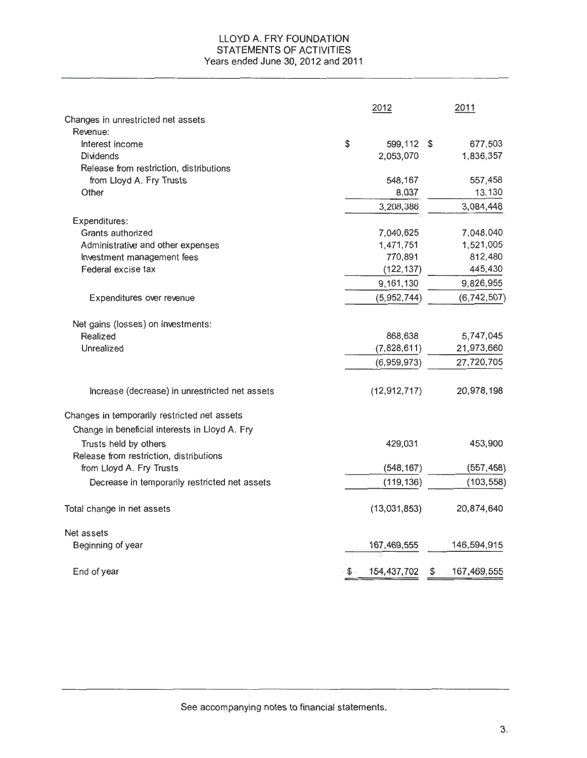# LLOYD A. FRY FOUNDATION STATEMENTS OF ACTIVITIES Years ended June 30, 2012 and 2011

|                                                | 2012 |                | 2011 |               |
|------------------------------------------------|------|----------------|------|---------------|
| Changes in unrestricted net assets             |      |                |      |               |
| Revenue:                                       |      |                |      |               |
| Interest income                                | \$   | 599,112 \$     |      | 677,503       |
| <b>Dividends</b>                               |      | 2,053,070      |      | 1,836,357     |
| Release from restriction, distributions        |      |                |      |               |
| from Lloyd A. Fry Trusts                       |      | 548,167        |      | 557,458       |
| Other                                          |      | 8,037          |      | 13,130        |
|                                                |      | 3,208,386      |      | 3,084,448     |
| Expenditures:                                  |      |                |      |               |
| Grants authorized                              |      | 7,040,625      |      | 7,048,040     |
| Administrative and other expenses              |      | 1,471,751      |      | 1,521,005     |
| Investment management fees                     |      | 770,891        |      | 812,480       |
| Federal excise tax                             |      | (122, 137)     |      | 445,430       |
|                                                |      | 9,161,130      |      | 9,826,955     |
| Expenditures over revenue                      |      | (5,952,744)    |      | (6, 742, 507) |
| Net gains (losses) on investments:             |      |                |      |               |
| Realized                                       |      | 868,638        |      | 5,747,045     |
| Unrealized                                     |      | (7,828,611)    |      | 21,973,660    |
|                                                |      | (6,959,973)    |      | 27,720,705    |
|                                                |      |                |      |               |
| Increase (decrease) in unrestricted net assets |      | (12, 912, 717) |      | 20,978,198    |
| Changes in temporarily restricted net assets   |      |                |      |               |
| Change in beneficial interests in Lloyd A. Fry |      |                |      |               |
| Trusts held by others                          |      | 429,031        |      | 453,900       |
| Release from restriction, distributions        |      |                |      |               |
| from Lloyd A. Fry Trusts                       |      | (548, 167)     |      | (557, 458)    |
| Decrease in temporarily restricted net assets  |      | (119, 136)     |      | (103, 558)    |
| Total change in net assets                     |      | (13,031,853)   |      | 20,874,640    |
| Net assets                                     |      |                |      |               |
| Beginning of year                              |      | 167,469,555    |      | 146,594,915   |
| End of year                                    | \$   | 154, 437, 702  | \$   | 167, 469, 555 |

See accompanying notes to financial statements.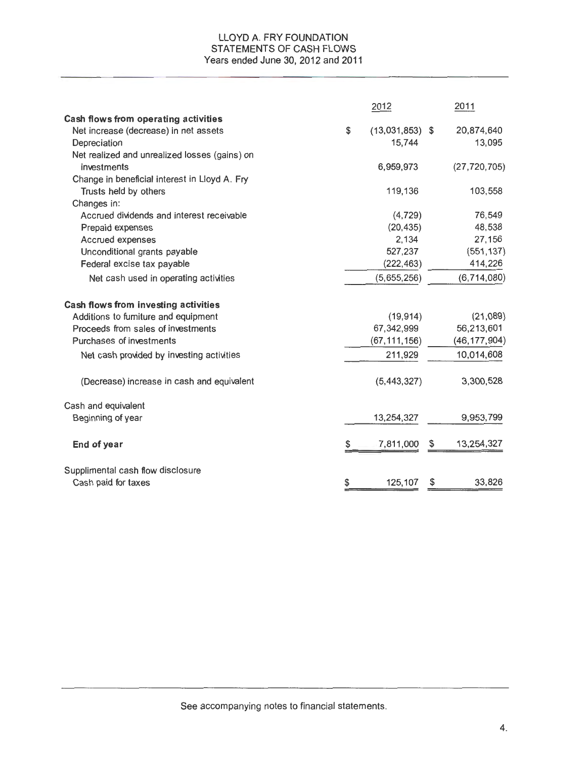#### LLOYD A. FRY FOUNDATION STATEMENTS OF CASH FLOWS Years ended June 30, 2012 and 2011

|                                               | 2012                    | 2011             |
|-----------------------------------------------|-------------------------|------------------|
| Cash flows from operating activities          |                         |                  |
| Net increase (decrease) in net assets         | \$<br>$(13,031,853)$ \$ | 20,874,640       |
| Depreciation                                  | 15,744                  | 13,095           |
| Net realized and unrealized losses (gains) on |                         |                  |
| investments                                   | 6,959,973               | (27, 720, 705)   |
| Change in beneficial interest in Lloyd A. Fry |                         |                  |
| Trusts held by others                         | 119,136                 | 103,558          |
| Changes in:                                   |                         |                  |
| Accrued dividends and interest receivable     | (4, 729)                | 76,549           |
| Prepaid expenses                              | (20, 435)               | 48,538           |
| Accrued expenses                              | 2,134                   | 27,156           |
| Unconditional grants payable                  | 527,237                 | (551, 137)       |
| Federal excise tax payable                    | (222, 463)              | 414,226          |
| Net cash used in operating activities         | (5,655,256)             | (6, 714, 080)    |
| <b>Cash flows from investing activities</b>   |                         |                  |
| Additions to furniture and equipment          | (19, 914)               | (21,089)         |
| Proceeds from sales of investments            | 67,342,999              | 56,213,601       |
| Purchases of investments                      | (67, 111, 156)          | (46, 177, 904)   |
| Net cash provided by investing activities     | 211,929                 | 10,014,608       |
| (Decrease) increase in cash and equivalent    | (5, 443, 327)           | 3,300,528        |
| Cash and equivalent                           |                         |                  |
| Beginning of year                             | 13,254,327              | 9,953,799        |
| End of year                                   | \$<br>7,811,000         | \$<br>13,254,327 |
| Supplimental cash flow disclosure             |                         |                  |
| Cash paid for taxes                           | \$<br>125,107           | \$<br>33,826     |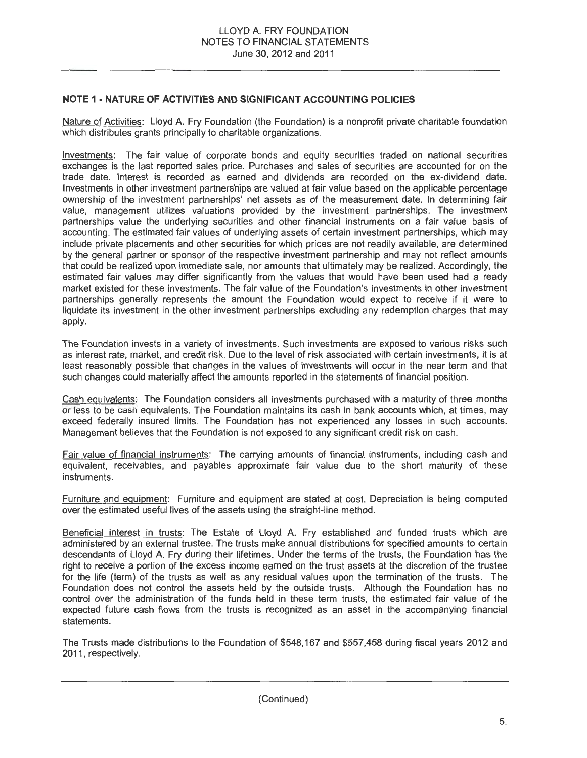# **NOTE 1 - NATURE OF ACTIVITIES AND SIGNIFICANT ACCOUNTING POLICIES**

Nature of Activities: Lloyd A. Fry Foundation (the Foundation) is a nonprofit private charitable foundation which distributes grants principally to charitable organizations.

Investments: The fair value of corporate bonds and equity securities traded on national securities exchanges is the last reported sales price. Purchases and sales of securities are accounted for on the trade date. Interest is recorded as earned and dividends are recorded on the ex-dividend date. Investments in other investment partnerships are valued at fair value based on the applicable percentage ownership of the investment partnerships' net assets as of the measurement date. In determining fair value, management utilizes valuations provided by the investment partnerships. The investment partnerships value the underlying securities and other financial instruments on a fair value basis of accounting. The estimated fair values of underlying assets of certain investment partnerships, which may include private placements and other securities for which prices are not readily available, are determined by the general partner or sponsor of the respective investment partnership and may not reflect amounts that could be realized upon immediate sale, nor amounts that ultimately may be realized. Accordingly, the estimated fair values may differ significantly from the values that would have been used had a ready market existed for these investments. The fair value of the Foundation's investments in other investment partnerships generally represents the amount the Foundation would expect to receive if it were to liquidate its investment in the other investment partnerships excluding any redemption charges that may apply.

The Foundation invests in a variety of investments. Such investments are exposed to various risks such as interest rate, market, and credit risk. Due to the level of risk associated with certain investments, it is at least reasonably possible that changes in the values of investments will occur in the near term and that such changes could materially affect the amounts reported in the statements of financial position.

Cash equivalents: The Foundation considers all investments purchased with a maturity of three months or less to be cash equivalents. The Foundation maintains its cash in bank accounts which, at times, may exceed federally insured limits. The Foundation has not experienced any losses in such accounts. Management believes that the Foundation is not exposed to any significant credit risk on cash.

Fair value of financial instruments: The carrying amounts of financial instruments, including cash and equivalent, receivables, and payables approximate fair value due to the short maturity of these instruments.

Furniture and eauioment: Furniture and equipment are stated at cost. Depreciation is being computed over the estimated useful lives of the assets using the straight-line method.

Beneficial interest in trusts: The Estate of Lloyd A. Fry established and funded trusts which are administered by an external trustee. The trusts make annual distributions for specified amounts to certain descendants of Lloyd A. Fry during their lifetimes. Under the terms of the trusts, the Foundation has the right to receive a portion of the excess income earned on the trust assets at the discretion of the trustee for the life (term) of the trusts as well as any residual values upon the termination of the trusts. The Foundation does not control the assets held by the outside trusts. Although the Foundation has no control over the administration of the funds held in these term trusts, the estimated fair value of the expected future cash flows from the trusts is recognized as an asset in the accompanying financial statements.

The Trusts made distributions to the Foundation of \$548,167 and \$557,458 during fiscal years 2012 and 2011, respectively.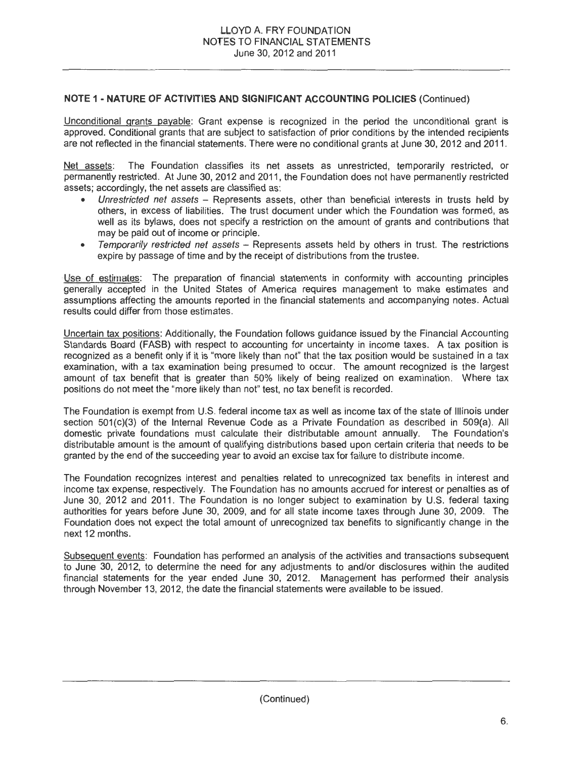# **NOTE 1 - NATURE OF ACTIVITIES AND SIGNIFICANT ACCOUNTING POLICIES** (Continued)

Unconditional grants payable: Grant expense is recognized in the period the unconditional grant is approved. Conditional grants that are subject to satisfaction of prior conditions by the intended recipients are not reflected in the financial statements. There were no conditional grants at June 30, 2012 and 2011.

Net assets: The Foundation classifies its net assets as unrestricted, temporarily restricted, or permanently restricted. At June 30, 2012 and 2011, the Foundation does not have permanently restricted assets; accordingly, the net assets are classified as:

- Unrestricted net assets Represents assets, other than beneficial interests in trusts held by others, in excess of liabilities. The trust document under which the Foundation was formed, as well as its bylaws, does not specify a restriction on the amount of grants and contributions that may be paid out of income or principle.
- Temporarily restricted net assets Represents assets held by others in trust. The restrictions expire by passage of time and by the receipt of distributions from the trustee.

Use of estimates: The preparation of financial statements in conformity with accounting principles generally accepted in the United States of America requires management to make estimates and assumptions affecting the amounts reported in the financial statements and accompanying notes. Actual results could differ from those estimates.

Uncertain tax positions: Additionally, the Foundation follows guidance issued by the Financial Accounting Standards Board (FASB) with respect to accounting for uncertainty in income taxes. A tax position is recognized as a benefit only if it is "more likely than not" that the tax position would be sustained in a tax examination, with a tax examination being presumed to occur. The amount recognized is the largest amount of tax benefit that is greater than 50% likely of being realized on examination. Where tax positions do not meet the "more likely than not" test, no tax benefit is recorded.

The Foundation is exempt from U.S. federal income tax as well as income tax of the state of Illinois under section 501(c)(3) of the Internal Revenue Code as a Private Foundation as described in 509(a). All domestic private foundations must calculate their distributable amount annually. The Foundation's distributable amount is the amount of qualifying distributions based upon certain criteria that needs to be granted by the end of the succeeding year to avoid an excise tax for failure to distribute income.

The Foundation recognizes interest and penalties related to unrecognized tax benefits in interest and income tax expense, respectively. The Foundation has no amounts accrued for interest or penalties as of June 30, 2012 and 2011 . The Foundation is no longer subject to examination by U.S. federal taxing authorities for years before June 30, 2009, and for all state income taxes through June 30, 2009. The Foundation does not expect the total amount of unrecognized tax benefits to significantly change in the next 12 months.

Subsequent events: Foundation has performed an analysis of the activities and transactions subsequent to June 30, 2012, to determine the need for any adjustments to and/or disclosures within the audited financial statements for the year ended June 30, 2012. Management has performed their analysis through November 13, 2012, the date the financial statements were available to be issued.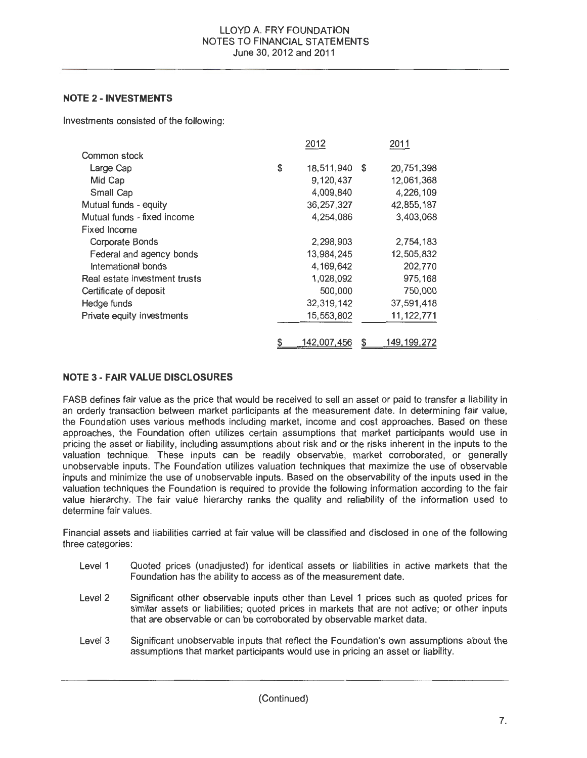# **NOTE 2 -INVESTMENTS**

Investments consisted of the following:

|                               | 2012             | 2011             |
|-------------------------------|------------------|------------------|
| Common stock                  |                  |                  |
| Large Cap                     | \$<br>18,511,940 | \$<br>20,751,398 |
| Mid Cap                       | 9,120,437        | 12,061,368       |
| Small Cap                     | 4,009,840        | 4,226,109        |
| Mutual funds - equity         | 36, 257, 327     | 42,855,187       |
| Mutual funds - fixed income   | 4,254,086        | 3,403,068        |
| <b>Fixed Income</b>           |                  |                  |
| Corporate Bonds               | 2,298,903        | 2,754,183        |
| Federal and agency bonds      | 13,984,245       | 12,505,832       |
| Intemational bonds            | 4,169,642        | 202,770          |
| Real estate investment trusts | 1,028,092        | 975,168          |
| Certificate of deposit        | 500,000          | 750,000          |
| Hedge funds                   | 32,319,142       | 37,591,418       |
| Private equity investments    | 15,553,802       | 11, 122, 771     |
|                               |                  |                  |
|                               | 142,007,456      | 149, 199, 272    |

# **NOTE 3- FAIR VALUE DISCLOSURES**

FASB defines fair value as the price that would be received to sell an asset or paid to transfer a liability in an orderly transaction between market participants at the measurement date. In determining fair value, the Foundation uses various methods including market, income and cost approaches. Based on these approaches, the Foundation often utilizes certain assumptions that market participants would use in pricing the asset or liability, including assumptions about risk and or the risks inherent in the inputs to the valuation technique. These inputs can be readily observable, market corroborated, or generally unobservable inputs. The Foundation utilizes valuation techniques that maximize the use of observable inputs and minimize the use of unobservable inputs. Based on the observability of the inputs used in the valuation techniques the Foundation is required to provide the following information according to the fair value hierarchy. The fair value hierarchy ranks the quality and reliability of the information used to determine fair values.

Financial assets and liabilities carried at fair value will be classified and disclosed in one of the following three categories:

- Level 1 Quoted prices (unadjusted) for identical assets or liabilities in active markets that the Foundation has the ability to access as of the measurement date.
- Level 2 Significant other observable inputs other than Level 1 prices such as quoted prices for similar assets or liabilities; quoted prices in markets that are not active; or other inputs that are observable or can be corroborated by observable market data.
- Level 3 Significant unobservable inputs that reflect the Foundation's own assumptions about the assumptions that market participants would use in pricing an asset or liability.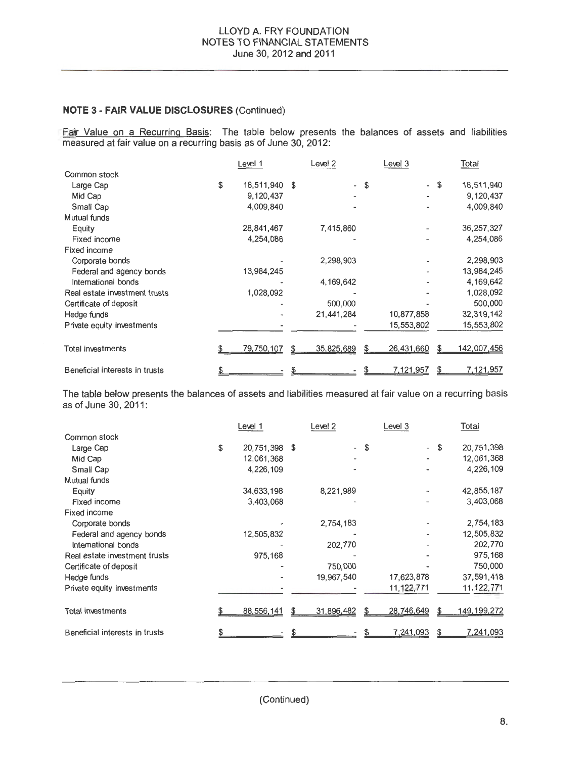Fair Value on a Recurring Basis: The table below presents the balances of assets and liabilities measured at fair value on a recurring basis as of June 30, 2012:

|                                | Level 1          |    | Level 2                  |    | Level 3                  |    | Total        |
|--------------------------------|------------------|----|--------------------------|----|--------------------------|----|--------------|
| Common stock                   |                  |    |                          |    |                          |    |              |
| Large Cap                      | \$<br>18,511,940 | \$ | $\overline{\phantom{a}}$ | \$ | $\overline{\phantom{0}}$ | -S | 18,511,940   |
| Mid Cap                        | 9,120,437        |    |                          |    |                          |    | 9,120,437    |
| Small Cap                      | 4,009,840        |    |                          |    |                          |    | 4,009,840    |
| Mutual funds                   |                  |    |                          |    |                          |    |              |
| Equity                         | 28,841,467       |    | 7,415,860                |    |                          |    | 36, 257, 327 |
| Fixed income                   | 4,254,086        |    |                          |    |                          |    | 4,254,086    |
| Fixed income                   |                  |    |                          |    |                          |    |              |
| Corporate bonds                |                  |    | 2,298,903                |    |                          |    | 2,298,903    |
| Federal and agency bonds       | 13,984,245       |    |                          |    |                          |    | 13,984,245   |
| International bonds            |                  |    | 4,169,642                |    |                          |    | 4,169,642    |
| Real estate investment trusts  | 1,028,092        |    |                          |    |                          |    | 1,028,092    |
| Certificate of deposit         |                  |    | 500,000                  |    |                          |    | 500,000      |
| Hedge funds                    |                  |    | 21.441.284               |    | 10,877,858               |    | 32,319,142   |
| Private equity investments     |                  |    |                          |    | 15,553,802               |    | 15,553,802   |
|                                |                  |    |                          |    |                          |    |              |
| <b>Total investments</b>       | 79,750,107       | £. | 35,825,689               | S  | 26,431,660               | £. | 142,007,456  |
|                                |                  |    |                          |    |                          |    |              |
| Beneficial interests in trusts |                  |    |                          |    | 7,121,957                |    | 7,121,957    |

The table below presents the balances of assets and liabilities measured at fair value on a recurring basis as of June 30, 2011 :

|                                | Level 1             | Level 2                  |    | Level 3        | Total            |
|--------------------------------|---------------------|--------------------------|----|----------------|------------------|
| Common stock                   |                     |                          |    |                |                  |
| Large Cap                      | \$<br>20,751,398 \$ | $\overline{\phantom{0}}$ | S. | $\blacksquare$ | \$<br>20,751,398 |
| Mid Cap                        | 12,061,368          | ٠                        |    |                | 12,061,368       |
| Small Cap                      | 4,226,109           |                          |    |                | 4,226,109        |
| Mutual funds                   |                     |                          |    |                |                  |
| Equity                         | 34,633,198          | 8,221,989                |    |                | 42,855,187       |
| <b>Fixed income</b>            | 3,403,068           |                          |    |                | 3,403,068        |
| Fixed income                   |                     |                          |    |                |                  |
| Corporate bonds                |                     | 2,754,183                |    |                | 2,754,183        |
| Federal and agency bonds       | 12,505,832          |                          |    |                | 12,505,832       |
| International bonds            |                     | 202,770                  |    |                | 202,770          |
| Real estate investment trusts  | 975,168             |                          |    |                | 975,168          |
| Certificate of deposit         |                     | 750,000                  |    |                | 750,000          |
| Hedge funds                    |                     | 19,967,540               |    | 17,623,878     | 37,591,418       |
| Private equity investments     |                     |                          |    | 11,122,771     | 11, 122, 771     |
|                                |                     |                          |    |                |                  |
| <b>Total investments</b>       | 88,556,141          | 31,896,482               | S  | 28,746,649     | 149, 199, 272    |
| Beneficial interests in trusts |                     |                          |    | 7,241,093      | 7,241,093        |

(Continued)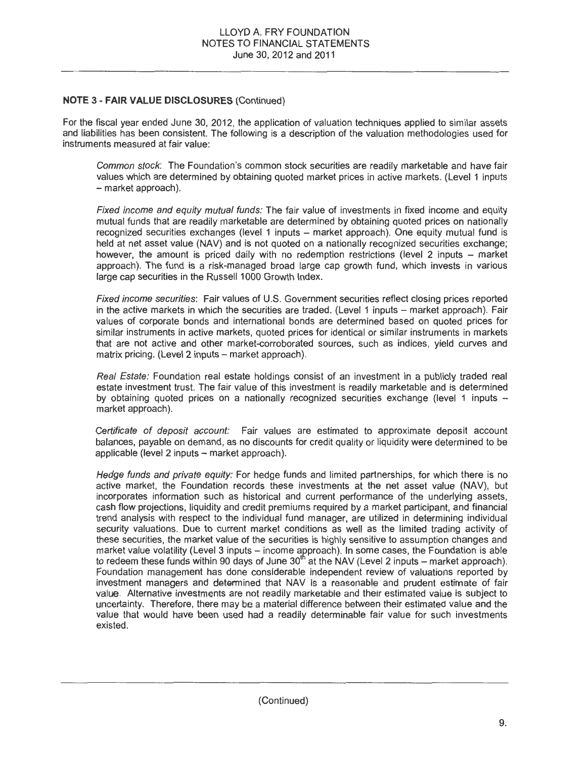For the fiscal year ended June 30, 2012, the application of valuation techniques applied to similar assets and liabilities has been consistent. The following is a description of the valuation methodologies used for instruments measured at fair value:

Common stock: The Foundation's common stock securities are readily marketable and have fair values which are determined by obtaining quoted market prices in active markets. (Level 1 inputs - market approach).

Fixed income and equity mutual funds: The fair value of investments in fixed income and equity mutual funds that are readily marketable are determined by obtaining quoted prices on nationally recognized securities exchanges (level 1 inputs - market approach). One equity mutual fund is held at net asset value (NAV) and is not quoted on a nationally recognized securities exchange; however, the amount is priced daily with no redemption restrictions (level  $2$  inputs  $-$  market approach). The fund is a risk-managed broad large cap growth fund, which invests in various large cap securities in the Russell 1000 Growth Index.

Fixed income securities: Fair values of U.S. Government securities reflect closing prices reported in the active markets in which the securities are traded. (Level 1 inputs - market approach). Fair values of corporate bonds and international bonds are determined based on quoted prices for similar instruments in active markets, quoted prices for identical or similar instruments in markets that are not active and other market-corroborated sources, such as indices, yield curves and matrix pricing. (Level 2 inputs - market approach).

Real Estate: Foundation real estate holdings consist of an investment in a publicly traded real estate investment trust. The fair value of this investment is readily marketable and is determined by obtaining quoted prices on a nationally recognized securities exchange (level 1 inputs market approach).

Certificate of deposit account: Fair values are estimated to approximate deposit account balances, payable on demand, as no discounts for credit quality or liquidity were determined to be applicable (level 2 inputs - market approach).

Hedge funds and private equity: For hedge funds and limited partnerships, for which there is no active market, the Foundation records these investments at the net asset value (NAV}, but incorporates information such as historical and current performance of the underlying assets, cash flow projections, liquidity and credit premiums required by a market participant, and financial trend analysis with respect to the individual fund manager, are utilized in determining individual security valuations. Due to current market conditions as well as the limited trading activity of these securities, the market value of the securities is highly sensitive to assumption changes and market value volatility (Level 3 inputs - income approach). In some cases, the Foundation is able to redeem these funds within 90 days of June  $30<sup>th</sup>$  at the NAV (Level 2 inputs – market approach). Foundation management has done considerable independent review of valuations reported by investment managers and determined that NAV is a reasonable and prudent estimate of fair value. Alternative investments are not readily marketable and their estimated value is subject to uncertainty. Therefore, there may be a material difference between their estimated value and the value that would have been used had a readily determinable fair value for such investments existed.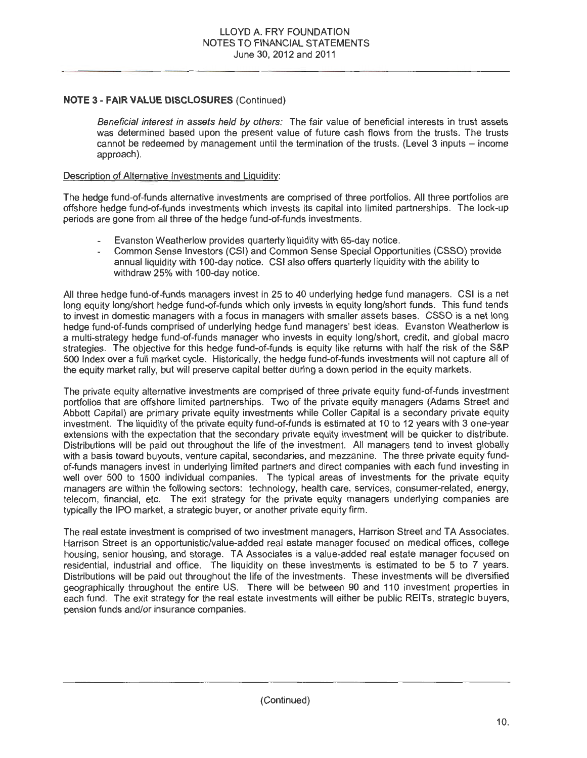Beneficial interest in assets held by others: The fair value of beneficial interests in trust assets was determined based upon the present value of future cash flows from the trusts. The trusts cannot be redeemed by management until the termination of the trusts. (Level 3 inputs – income approach).

#### Description of Alternative Investments and Liquidity:

The hedge fund-of-funds alternative investments are comprised of three portfolios. All three portfolios are offshore hedge fund-of-funds investments which invests its capital into limited partnerships. The lock-up periods are gone from all three of the hedge fund-of-funds investments.

- Evanston Weatherlow provides quarterly liquidity with 65-day notice.
- Common Sense Investors (CSI) and Common Sense Special Opportunities (CSSO) provide annual liquidity with 1 00-day notice. CSI also offers quarterly liquidity with the ability to withdraw 25% with 100-day notice.

All three hedge fund-of-funds managers invest in 25 to 40 underlying hedge fund managers. CSI is a net long equity long/short hedge fund-of-funds which only invests in equity long/short funds. This fund tends to invest in domestic managers with a focus in managers with smaller assets bases. CSSO is a net long hedge fund-of-funds comprised of underlying hedge fund managers' best ideas. Evanston Weatherlow is a multi-strategy hedge fund-of-funds manager who invests in equity long/short, credit, and global macro strategies. The objective for this hedge fund-of-funds is equity like returns with half the risk of the S&P 500 Index over a full market cycle. Historically, the hedge fund-of-funds investments will not capture all of the equity market rally, but will preserve capital better during a down period in the equity markets.

The private equity alternative investments are comprised of three private equity fund-of-funds investment portfolios that are offshore limited partnerships. Two of the private equity managers (Adams Street and Abbott Capital) are primary private equity investments while Coller Capital is a secondary private equity investment. The liquidity of the private equity fund-of-funds is estimated at 10 to 12 years with 3 one-year extensions with the expectation that the secondary private equity investment will be quicker to distribute. Distributions will be paid out throughout the life of the investment. All managers tend to invest globally with a basis toward buyouts, venture capital, secondaries, and mezzanine. The three private equity fundof-funds managers invest in underlying limited partners and direct companies with each fund investing in well over 500 to 1500 individual companies. The typical areas of investments for the private equity managers are within the following sectors: technology, health care, services, consumer-related, energy, telecom, financial, etc. The exit strategy for the private equity managers underlying companies are typically the IPO market, a strategic buyer, or another private equity firm .

The real estate investment is comprised of two investment managers, Harrison Street and TA Associates. Harrison Street is an opportunistic/value-added real estate manager focused on medical offices, college housing, senior housing, and storage. TA Associates is a value-added real estate manager focused on residential, industrial and office. The liquidity on these investments is estimated to be 5 to 7 years. Distributions will be paid out throughout the life of the investments. These investments will be diversified geographically throughout the entire US. There will be between 90 and 110 investment properties in each fund. The exit strategy for the real estate investments will either be public REITs, strategic buyers, pension funds and/or insurance companies.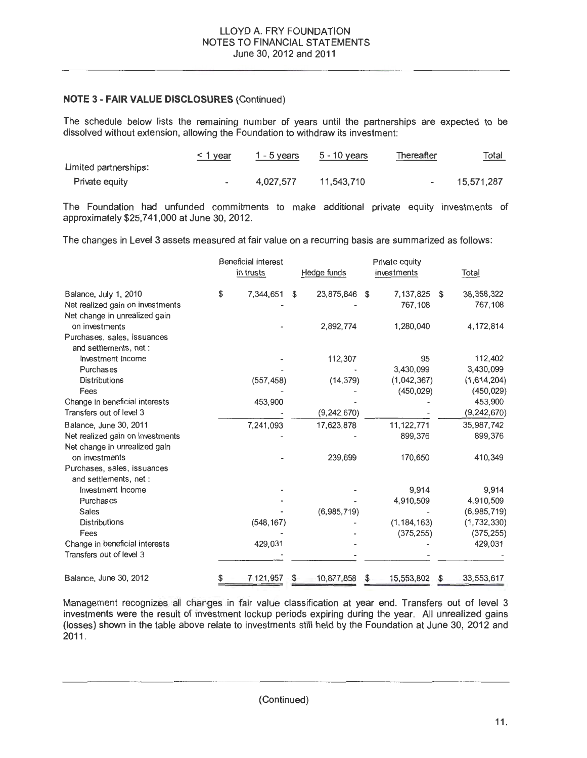The schedule below lists the remaining number of years until the partnerships are expected to be dissolved without extension, allowing the Foundation to withdraw its investment:

|                       | $\leq$ 1 year | $1 - 5$ years | 5 - 10 years | Thereafter | <u>Total</u> |
|-----------------------|---------------|---------------|--------------|------------|--------------|
| Limited partnerships: |               |               |              |            |              |
| Private equity        |               | 4.027.577     | 11.543.710   |            | 15.571.287   |

The Foundation had unfunded commitments to make additional private equity investments of approximately \$25,7 41,000 at June 30, 2012.

The changes in Level 3 assets measured at fair value on a recurring basis are summarized as follows:

|                                  | <b>Beneficial interest</b><br>in trusts | Hedge funds |               | Private equity<br>investments |                           | <b>Total</b> |               |
|----------------------------------|-----------------------------------------|-------------|---------------|-------------------------------|---------------------------|--------------|---------------|
|                                  |                                         | \$          |               | \$                            | 7,137,825                 | \$           | 38, 358, 322  |
| Balance, July 1, 2010            | \$<br>7,344,651                         |             | 23,875,846    |                               | 767,108                   |              | 767,108       |
| Net realized gain on investments |                                         |             |               |                               |                           |              |               |
| Net change in unrealized gain    |                                         |             | 2,892,774     |                               | 1,280,040                 |              | 4, 172, 814   |
| on investments                   |                                         |             |               |                               |                           |              |               |
| Purchases, sales, issuances      |                                         |             |               |                               |                           |              |               |
| and settlements, net:            |                                         |             |               |                               | 95                        |              | 112,402       |
| Investment Income                |                                         |             | 112,307       |                               | 3,430,099                 |              | 3,430,099     |
| Purchases                        |                                         |             |               |                               |                           |              | (1,614,204)   |
| <b>Distributions</b>             | (557, 458)                              |             | (14, 379)     |                               | (1,042,367)<br>(450, 029) |              | (450, 029)    |
| Fees                             |                                         |             |               |                               |                           |              | 453,900       |
| Change in beneficial interests   | 453,900                                 |             |               |                               |                           |              |               |
| Transfers out of level 3         |                                         |             | (9, 242, 670) |                               |                           |              | (9, 242, 670) |
| Balance, June 30, 2011           | 7,241,093                               |             | 17,623,878    |                               | 11, 122, 771              |              | 35,987,742    |
| Net realized gain on investments |                                         |             |               |                               | 899,376                   |              | 899,376       |
| Net change in unrealized gain    |                                         |             |               |                               |                           |              |               |
| on investments                   |                                         |             | 239,699       |                               | 170,650                   |              | 410,349       |
| Purchases, sales, issuances      |                                         |             |               |                               |                           |              |               |
| and settlements, net :           |                                         |             |               |                               |                           |              |               |
| Investment Income                |                                         |             |               |                               | 9,914                     |              | 9.914         |
| Purchases                        |                                         |             |               |                               | 4,910,509                 |              | 4,910,509     |
| <b>Sales</b>                     |                                         |             | (6,985,719)   |                               |                           |              | (6,985,719)   |
| <b>Distributions</b>             | (548, 167)                              |             |               |                               | (1, 184, 163)             |              | (1, 732, 330) |
| Fees                             |                                         |             |               |                               | (375, 255)                |              | (375, 255)    |
| Change in beneficial interests   | 429,031                                 |             |               |                               |                           |              | 429,031       |
| Transfers out of level 3         |                                         |             |               |                               |                           |              |               |
| Balance, June 30, 2012           | 7, 121, 957                             |             | 10,877,858    |                               | 15, 553, 802              |              | 33.553.617    |

Management recognizes all charges in fair value classification at year end. Transfers out of level 3 investments were the result of investment lockup periods expiring during the year. All unrealized gains (losses) shown in the table above relate to investments still held by the Foundation at June 30, 2012 and 2011.